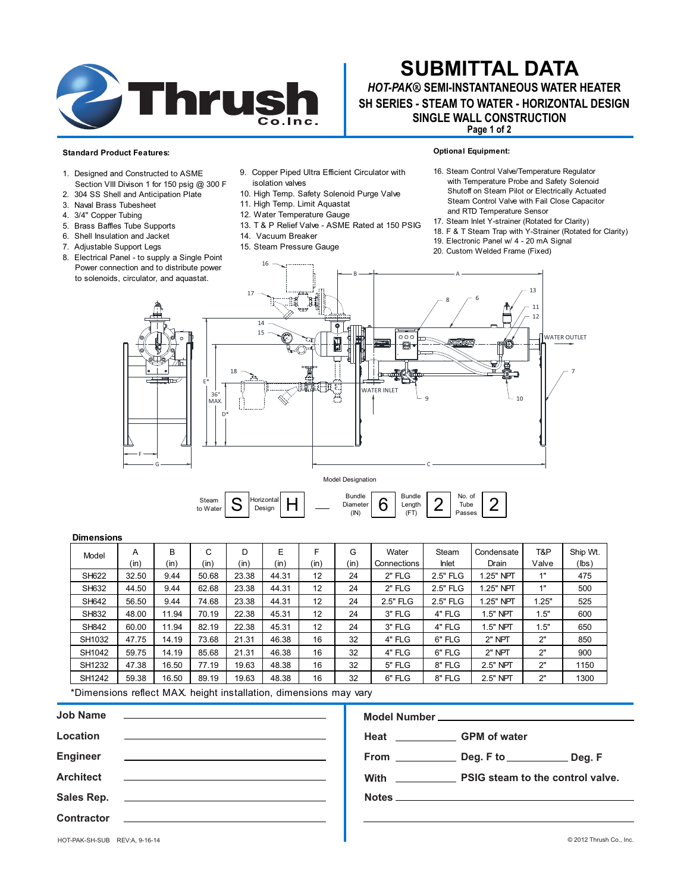

# **SUBMITTAL DATA**

# *HOT-PAK***® SEMI-INSTANTANEOUS WATER HEATER SINGLE WALL CONSTRUCTION SH SERIES - STEAM TO WATER - HORIZONTAL DESIGN**

**Page 1 of 2**

**Optional Equipment:**

Tube

 $\overline{2}$ 

Length<br>(FT)

#### **Standard Product Features:**

3. Naval Brass Tubesheet 4. 3/4" Copper Tubing 5. Brass Baffles Tube Supports 6. Shell Insulation and Jacket 7. Adjustable Support Legs

1. Designed and Constructed to ASME Section VIII Divison 1 for 150 psig @ 300 F 2. 304 SS Shell and Anticipation Plate

- 9. Copper Piped Ultra Efficient Circulator with isolation valves
- 10. High Temp. Safety Solenoid Purge Valve
- 11. High Temp. Limit Aquastat
- 12. Water Temperature Gauge
- 13. T & P Relief Valve ASME Rated at 150 PSIG
- 14. Vacuum Breaker
- 15. Steam Pressure Gauge

Shutoff on Steam Pilot or Electrically Actuated Steam Control Valve with Fail Close Capacitor and RTD Temperature Sensor

16. Steam Control Valve/Temperature Regulator with Temperature Probe and Safety Solenoid

- 17. Steam Inlet Y-strainer (Rotated for Clarity)
- 18. F & T Steam Trap with Y-Strainer (Rotated for Clarity)
- 19. Electronic Panel w/ 4 20 mA Signal
- 20. Custom Welded Frame (Fixed)



#### $\frac{\text{Diameter}}{\text{(IN)}}$  6 Horizonta Design H

### **Dimensions**

| Model        | А     | В     | C     | D     | E     | F                 | G    | Water       | Steam        | Condensate | T&P   | Ship Wt. |
|--------------|-------|-------|-------|-------|-------|-------------------|------|-------------|--------------|------------|-------|----------|
|              | (in)  | (in)  | (in)  | (in)  | (in)  | (in)              | (in) | Connections | <b>Inlet</b> | Drain      | Valve | (lbs)    |
| SH622        | 32.50 | 9.44  | 50.68 | 23.38 | 44.31 | 12                | 24   | $2"$ FLG    | 2.5" FLG     | 1.25" NPT  | 1"    | 475      |
| SH632        | 44.50 | 9.44  | 62.68 | 23.38 | 44.31 | 12                | 24   | $2"$ FLG    | 2.5" FLG     | .25" NPT   | 1"    | 500      |
| SH642        | 56.50 | 9.44  | 74.68 | 23.38 | 44.31 | $12 \overline{ }$ | 24   | 2.5" FLG    | 2.5" FLG     | 1.25" NPT  | 1.25" | 525      |
| SH832        | 48.00 | 11.94 | 70.19 | 22.38 | 45.31 | 12                | 24   | 3" FLG      | 4" FLG       | 1.5" NPT   | 1.5"  | 600      |
| <b>SH842</b> | 60.00 | 11.94 | 82.19 | 22.38 | 45.31 | 12                | 24   | 3" FLG      | 4" FLG       | 1.5" NPT   | 1.5"  | 650      |
| SH1032       | 47.75 | 14.19 | 73.68 | 21.31 | 46.38 | 16                | 32   | 4" FLG      | 6" FLG       | 2" NPT     | 2"    | 850      |
| SH1042       | 59.75 | 14.19 | 85.68 | 21.31 | 46.38 | 16                | 32   | 4" FLG      | 6" FLG       | 2" NPT     | 2"    | 900      |
| SH1232       | 47.38 | 16.50 | 77.19 | 19.63 | 48.38 | 16                | 32   | 5" FLG      | 8" FLG       | 2.5" NPT   | 2"    | 1150     |
| SH1242       | 59.38 | 16.50 | 89.19 | 19.63 | 48.38 | 16                | 32   | 6" FLG      | 8" FLG       | $2.5"$ NPT | 2"    | 1300     |

\*Dimensions reflect MAX. height installation, dimensions may vary

Steam **S** 

| <b>Job Name</b><br><u> 1980 - Jan Sterlinger, fransk politiker (d. 1980)</u>                                                      |                                       |
|-----------------------------------------------------------------------------------------------------------------------------------|---------------------------------------|
| Location<br><u> 1980 - Jan Barbara de Santo de Santo de Santo de Santo de Santo de Santo de Santo de Santo de Santo de Santo </u> | Heat _________________GPM of water    |
|                                                                                                                                   |                                       |
| Architect <b>Andrew Community Community</b>                                                                                       | With PSIG steam to the control valve. |
|                                                                                                                                   |                                       |
| <b>Contractor</b><br><u> 1989 - Johann Stein, mars an deutscher Stein († 1989)</u>                                                |                                       |